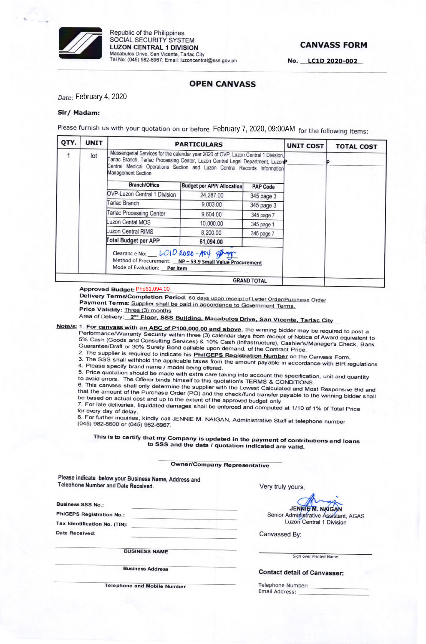

Republic of the Philippines SOCIAL SECURITY SYSTEM **LUZON CENTRAL 1 DIVISION** Macabulos Drive, San Vicente, Tarlac City Tel No: (045) 982-6967; Email: luzoncentral@sss.gov.ph

### **CANVASS FORM**

No. LC1D 2020-002

### **OPEN CANVASS**

Date: February 4, 2020

#### Sir/ Madam:

Please furnish us with your quotation on or before February 7, 2020, 09:00AM for the following items:

| QTY. | <b>UNIT</b> |                                                                                                                                                                                                                                                                         | <b>PARTICULARS</b>                |                 | <b>UNIT COST</b> | <b>TOTAL COST</b> |
|------|-------------|-------------------------------------------------------------------------------------------------------------------------------------------------------------------------------------------------------------------------------------------------------------------------|-----------------------------------|-----------------|------------------|-------------------|
|      | lot         | Messengerial Services for the calendar year 2020 of OVP, Luzon Central 1 Division,<br>Farlac Branch, Tarlac Processing Center, Luzon Central Legal Department, LuzonP<br>Central Medical Operations Section and Luzon Central Records Information<br>Management Section |                                   |                 |                  |                   |
|      |             | <b>Branch/Office</b>                                                                                                                                                                                                                                                    | <b>Budget per APP/ Allocation</b> | <b>PAP Code</b> |                  |                   |
|      |             | OVP-Luzon Central 1 Division                                                                                                                                                                                                                                            | 24,287.00                         | 345 page 3      |                  |                   |
|      |             | arlac Branch                                                                                                                                                                                                                                                            | 9,003.00                          | 345 page 3      |                  |                   |
|      |             | <b>Farlac Processing Center</b>                                                                                                                                                                                                                                         | 9,604.00                          | 345 page 7      |                  |                   |
|      |             | <b>Luzon Cental MOS</b>                                                                                                                                                                                                                                                 | 10,000.00                         | 345 page 1      |                  |                   |
|      |             | Luzon Central RIMS                                                                                                                                                                                                                                                      | 8,200.00                          | 345 page 7      |                  |                   |
|      |             | Total Budget per APP                                                                                                                                                                                                                                                    | 61,094.00                         |                 |                  |                   |
|      |             | Clearance No: __ LOID 2020-A04 progr<br>Method of Procurement: NP-53.9 Small Value Procurement<br>Mode of Evaluation: Per item                                                                                                                                          |                                   |                 |                  |                   |
|      |             |                                                                                                                                                                                                                                                                         |                                   |                 |                  |                   |

Approved Budget: Php61,094.00

Delivery Terms/Completion Period: 60 days upon receipt of Letter Order/Purchase Order

Payment Terms: Supplier shall be paid in accordance to Government Terms.

Price Validity: Three (3) months

Area of Delivery: 2<sup>nd</sup> Floor, SSS Building, Macabulos Drive, San Vicente, Tarlac City

Note/s: 1. For canvass with an ABC of P100,000.00 and above, the winning bidder may be required to post a Performance/Warranty Security within three (3) calendar days from receipt of Notice of Award equivalent to 5% Cash (Goods and Consulting Services) & 10% Cash (Infrastructure), Cashier's/Manager's Check, Bank Guarantee/Draft or 30% Surety Bond callable upon demand, of the Contract Price.

2. The supplier is required to indicate his **PhilGEPS Registration Number** on the Canvass Form.

3. The SSS shall withhold the applicable taxes from the amount payable in accordance with BIR regulations 4. Please specify brand name / model being offered.

5. Price quotation should be made with extra care taking into account the specification, unit and quantity to avoid errors. The Offeror binds himself to this quotation's TERMS & CONDITIONS.

6. This canvass shall only determine the supplier with the Lowest Calculated and Most Responsive Bid and that the amount of the Purchase Order (PO) and the check/fund transfer payable to the winning bidder shall be based on actual cost and up to the extent of the approved budget only. 7. For late deliveries, liquidated damages shall be enforced and computed at 1/10 of 1% of Total Price

for every day of delay.

8. For further inquiries, kindly call JENNIE M. NAIGAN, Administrative Staff at telephone number (045) 982-8600 or (045) 982-6967.

This is to certify that my Company is updated in the payment of contributions and loans to SSS and the data / quotation indicated are valid.

#### **Owner/Company Representative**

Please indicate below your Business Name, Address and Telephone Number and Date Received.

**Business SSS No.:** 

Date Received:

**PhiGEPS Registration No.:** 

Tax Identification No. (TIN):

Very truly yours,

JENNIE M. NAIGAN Senior Administrative Assistant, AGAS Luzon Central 1 Division

Canvassed By:

**BUSINESS NAME** 

**Business Address** 

**Telephone and Mobile Number** 

Sign over Printed Name

**Contact detail of Canvasser:** 

Telephone Number: Email Address: